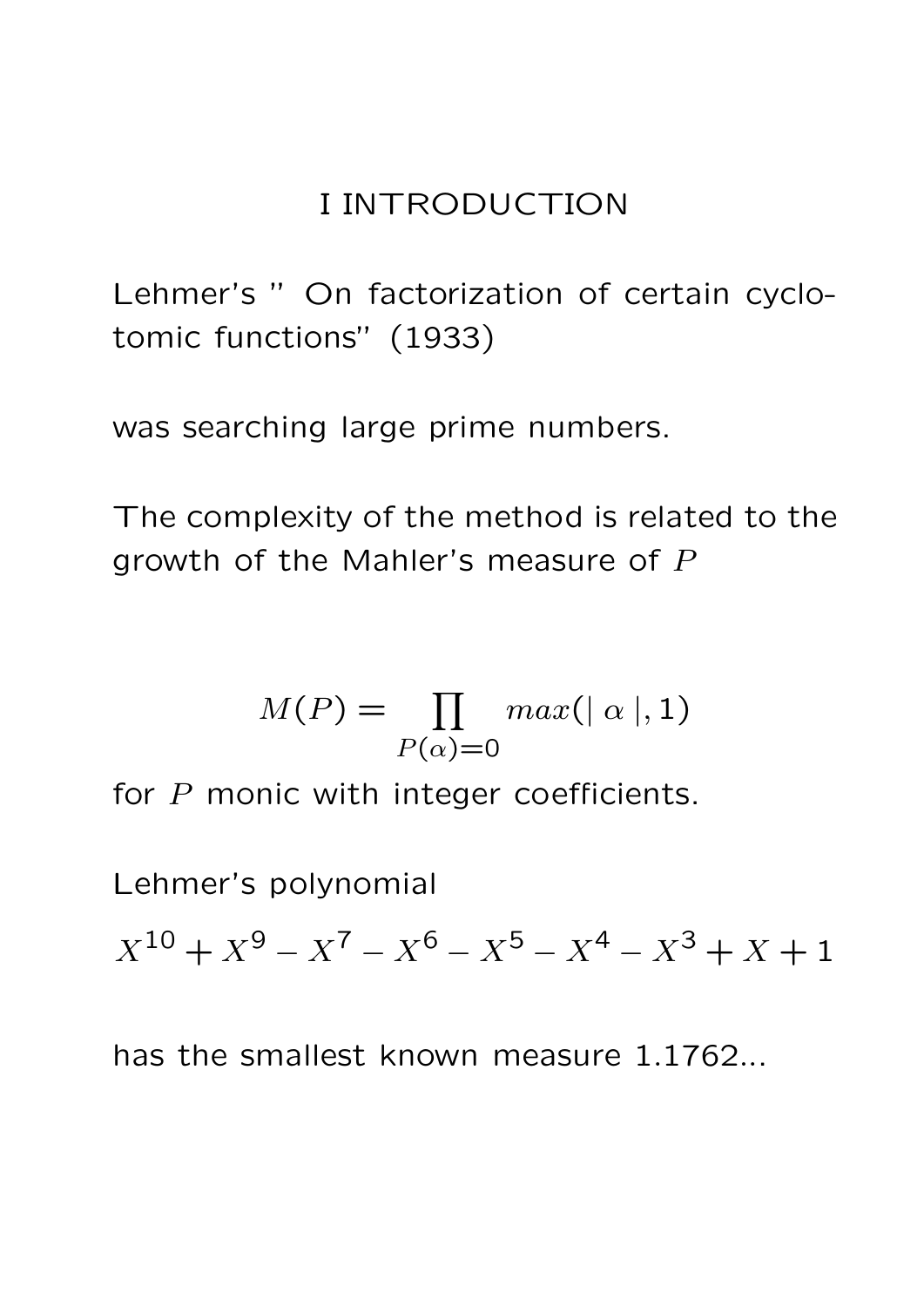### I INTRODUCTION

Lehmer's " On factorization of certain cyclotomic functions" (1933)

was searching large prime numbers.

The complexity of the method is related to the growth of the Mahler's measure of P

$$
M(P) = \prod_{P(\alpha) = 0} max(|\alpha|, 1)
$$

for P monic with integer coefficients.

Lehmer's polynomial

 $X^{10} + X^9 - X^7 - X^6 - X^5 - X^4 - X^3 + X + 1$ 

has the smallest known measure 1.1762...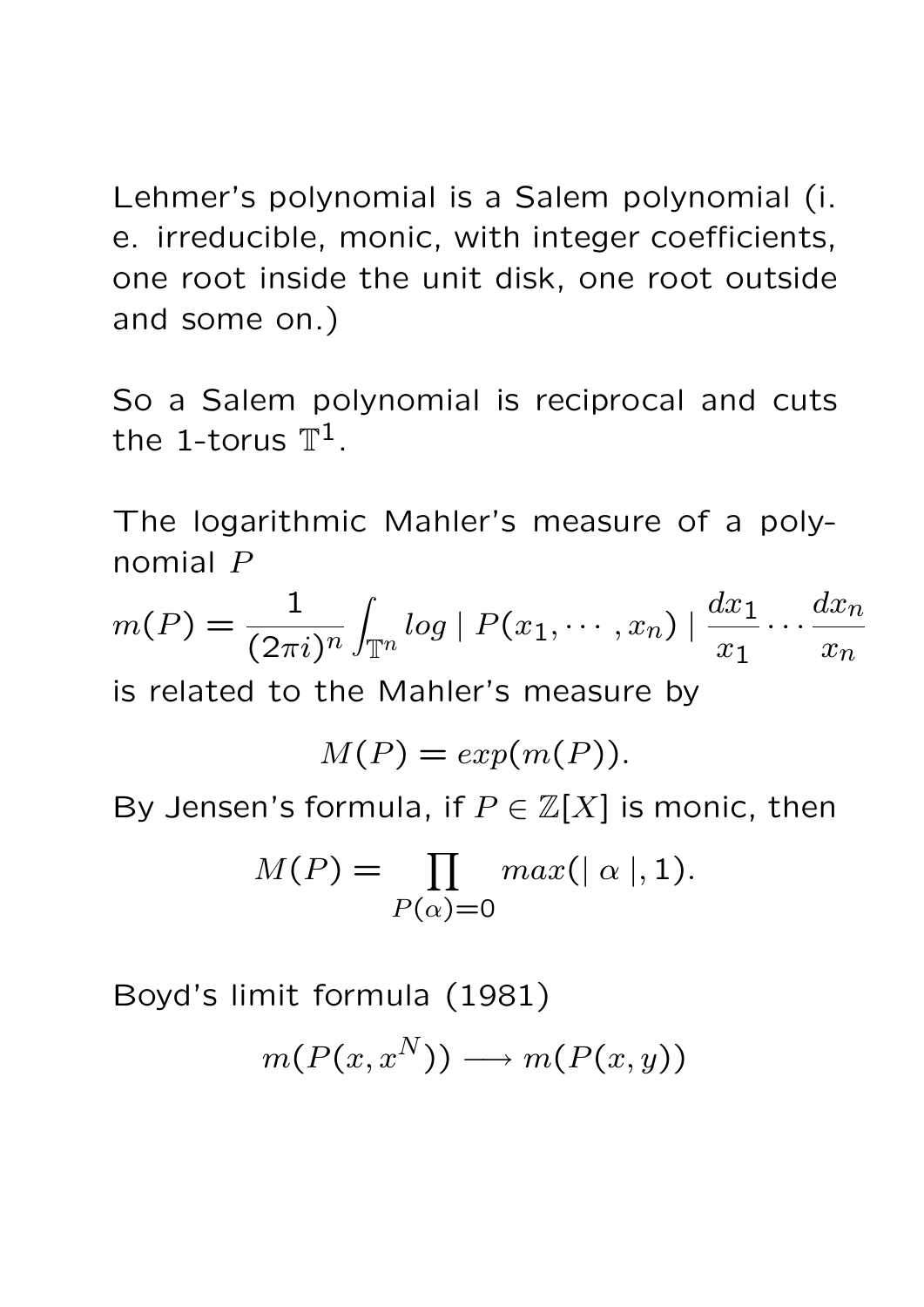Lehmer's polynomial is a Salem polynomial (i. e. irreducible, monic, with integer coefficients, one root inside the unit disk, one root outside and some on.)

So a Salem polynomial is reciprocal and cuts the 1-torus  $\mathbb{T}^{1}.$ 

The logarithmic Mahler's measure of a polynomial P

$$
m(P) = \frac{1}{(2\pi i)^n} \int_{\mathbb{T}^n} \log |P(x_1, \cdots, x_n)| \frac{dx_1}{x_1} \cdots \frac{dx_n}{x_n}
$$

is related to the Mahler's measure by

$$
M(P) = exp(m(P)).
$$

By Jensen's formula, if  $P \in \mathbb{Z}[X]$  is monic, then

$$
M(P) = \prod_{P(\alpha) = 0} max(|\alpha|, 1).
$$

Boyd's limit formula (1981)

$$
m(P(x, x^N)) \longrightarrow m(P(x, y))
$$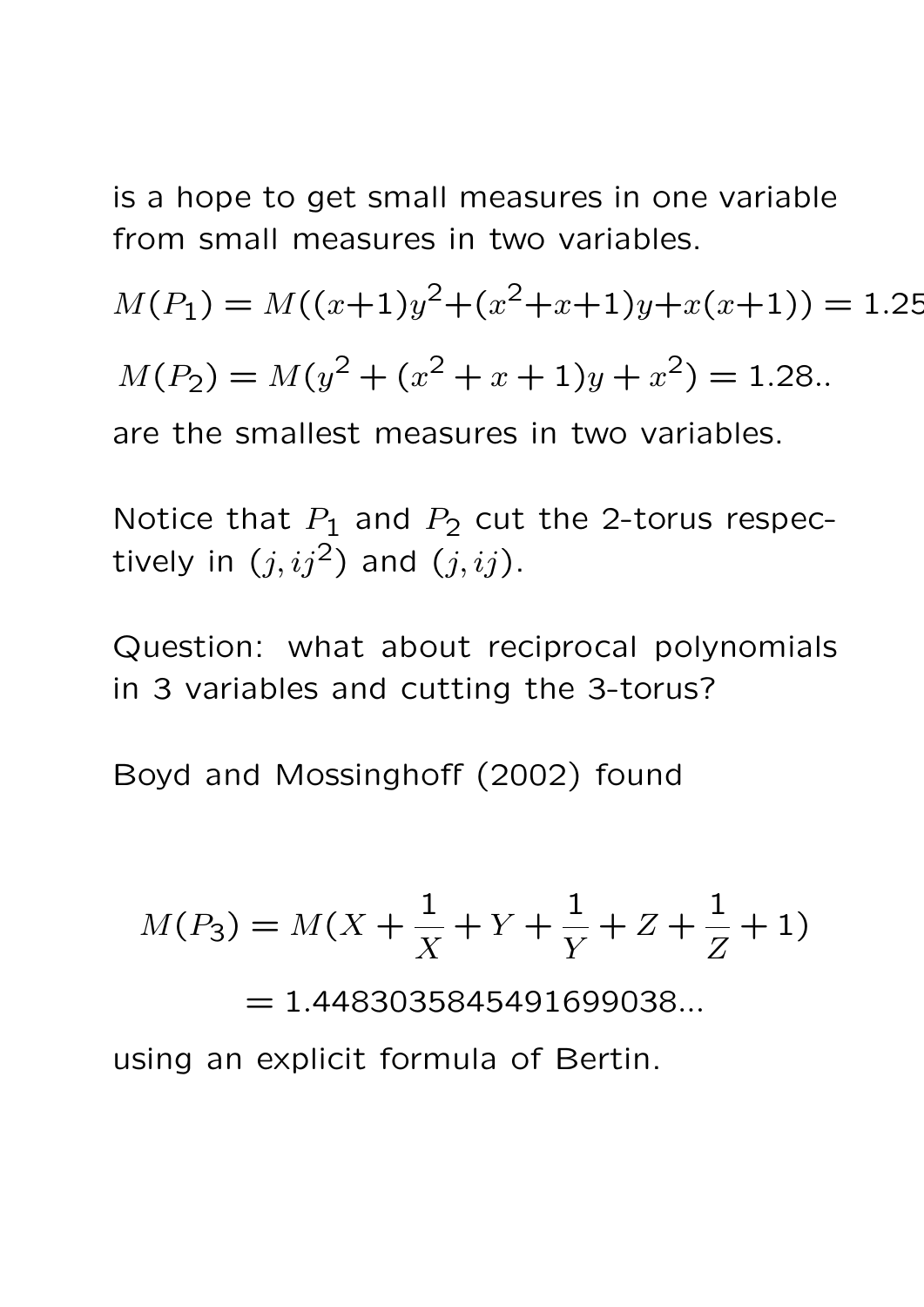is a hope to get small measures in one variable from small measures in two variables.

 $M(P_1) = M((x+1)y^2 + (x^2+x+1)y+x(x+1)) = 1.25$ 

 $M(P_2) = M(y^2 + (x^2 + x + 1)y + x^2) = 1.28.$ 

are the smallest measures in two variables.

Notice that  $P_1$  and  $P_2$  cut the 2-torus respectively in  $(j, ij^2)$  and  $(j, ij)$ .

Question: what about reciprocal polynomials in 3 variables and cutting the 3-torus?

Boyd and Mossinghoff (2002) found

$$
M(P_3) = M(X + \frac{1}{X} + Y + \frac{1}{Y} + Z + \frac{1}{Z} + 1)
$$

 $= 1.4483035845491699038...$ 

using an explicit formula of Bertin.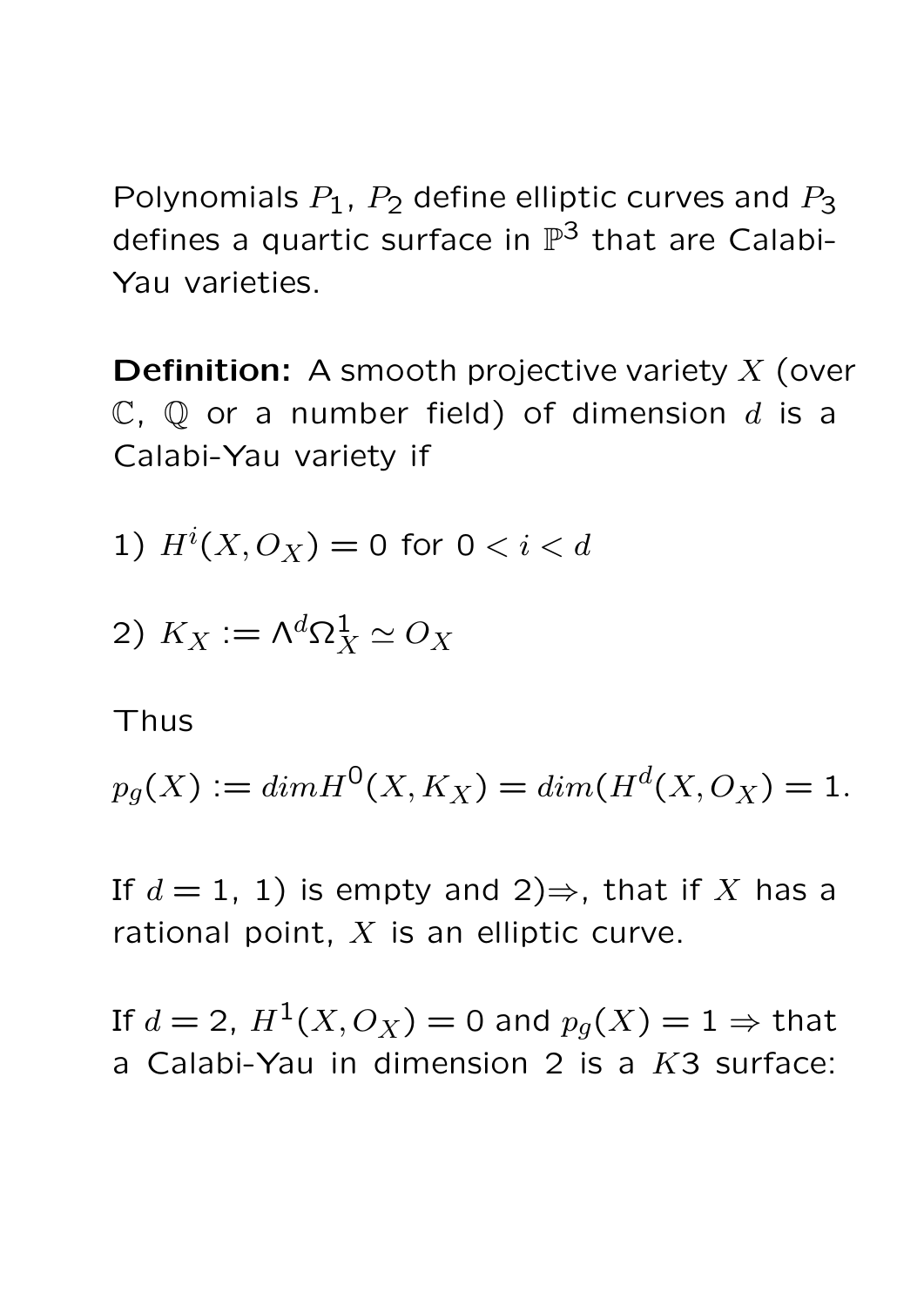Polynomials  $P_1$ ,  $P_2$  define elliptic curves and  $P_3$ defines a quartic surface in  $\mathbb{P}^3$  that are Calabi-Yau varieties.

**Definition:** A smooth projective variety  $X$  (over  $\mathbb{C}$ ,  $\mathbb{Q}$  or a number field) of dimension d is a Calabi-Yau variety if

1) 
$$
H^i(X, O_X) = 0
$$
 for  $0 < i < d$ 

$$
2) K_X := \Lambda^d \Omega^1_X \simeq O_X
$$

#### Thus

$$
p_g(X) := dim H^0(X, K_X) = dim(H^d(X, O_X)) = 1.
$$

If  $d = 1, 1$ ) is empty and  $2 \Rightarrow$ , that if X has a rational point,  $X$  is an elliptic curve.

If  $d = 2$ ,  $H^1(X, O_X) = 0$  and  $p_q(X) = 1 \Rightarrow$  that a Calabi-Yau in dimension 2 is a  $K3$  surface: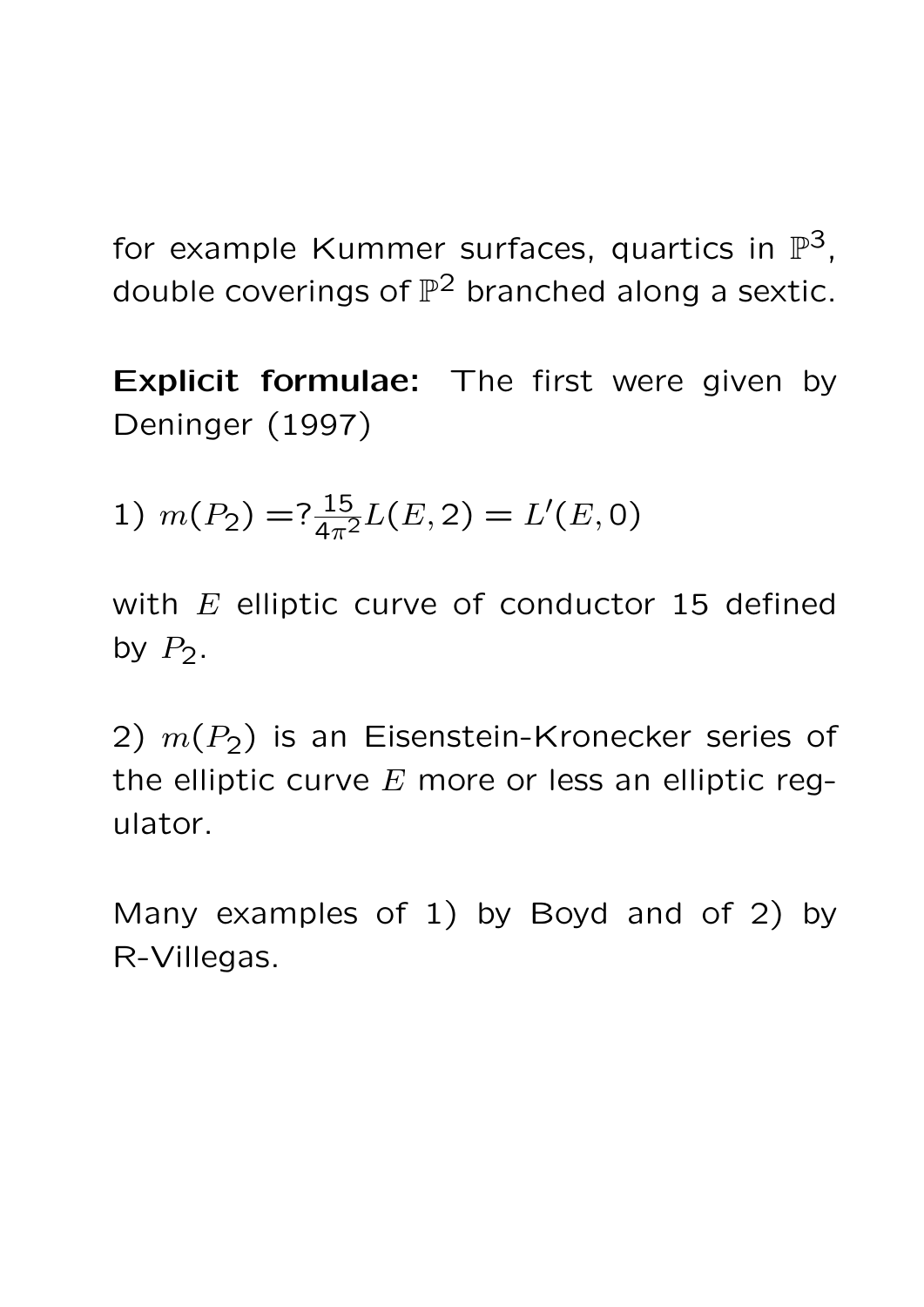for example Kummer surfaces, quartics in  $\mathbb{P}^3$ , double coverings of  $\mathbb{P}^2$  branched along a sextic.

Explicit formulae: The first were given by Deninger (1997)

1) 
$$
m(P_2) = ?\frac{15}{4\pi^2}L(E,2) = L'(E,0)
$$

with  $E$  elliptic curve of conductor 15 defined by  $P_2$ .

2)  $m(P_2)$  is an Eisenstein-Kronecker series of the elliptic curve  $E$  more or less an elliptic regulator.

Many examples of 1) by Boyd and of 2) by R-Villegas.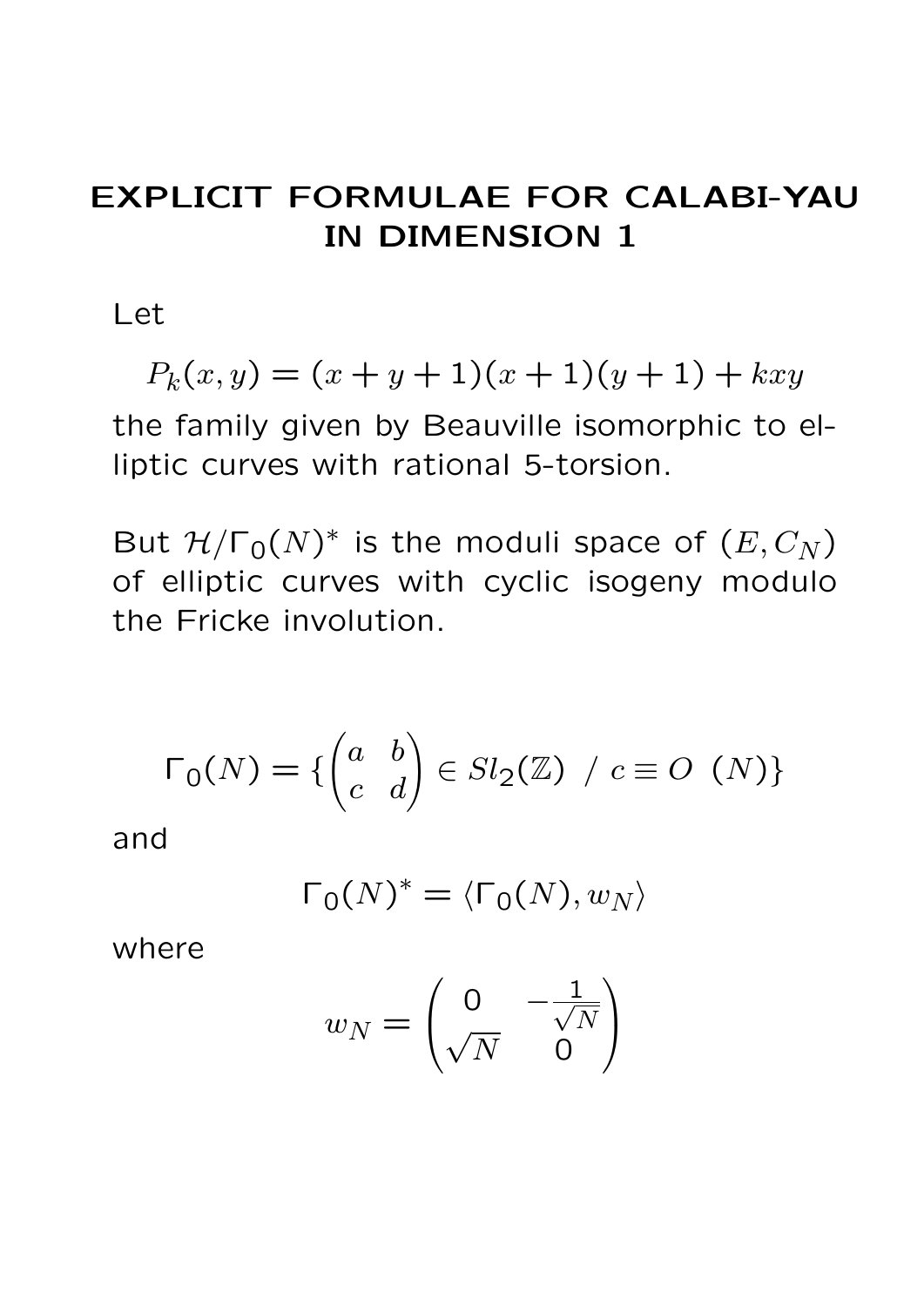## EXPLICIT FORMULAE FOR CALABI-YAU IN DIMENSION 1

Let

$$
P_k(x, y) = (x + y + 1)(x + 1)(y + 1) + kxy
$$

the family given by Beauville isomorphic to elliptic curves with rational 5-torsion.

But  $\mathcal{H}/\Gamma_0(N)^*$  is the moduli space of  $(E,C_N)$ of elliptic curves with cyclic isogeny modulo the Fricke involution.

$$
\Gamma_0(N) = \{ \begin{pmatrix} a & b \\ c & d \end{pmatrix} \in Sl_2(\mathbb{Z}) \ / \ c \equiv O \ \ (N) \}
$$

and

$$
\Gamma_0(N)^* = \langle \Gamma_0(N), w_N \rangle
$$

where

$$
w_N = \begin{pmatrix} 0 & -\frac{1}{\sqrt{N}} \\ \sqrt{N} & 0 \end{pmatrix}
$$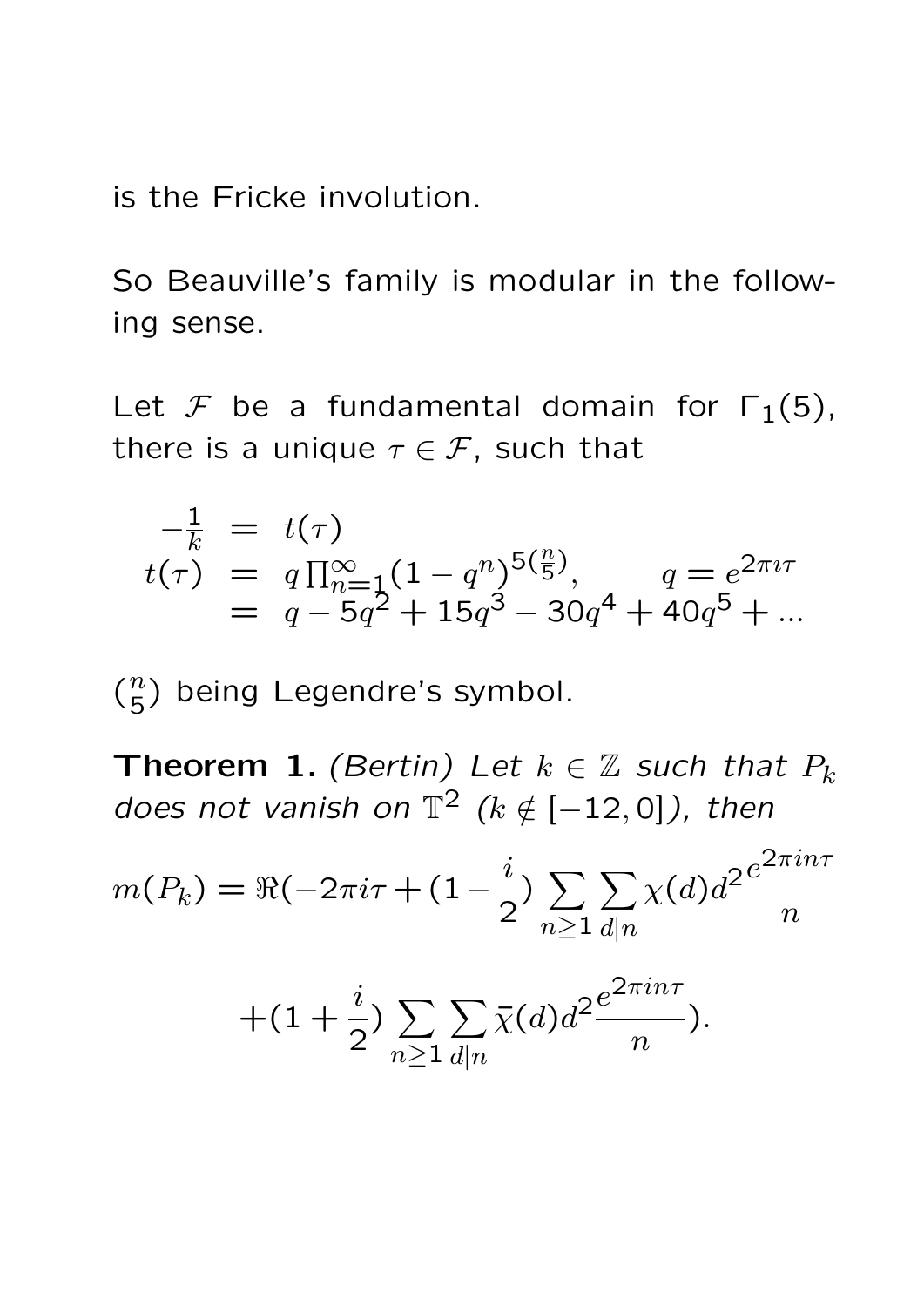is the Fricke involution.

So Beauville's family is modular in the following sense.

Let F be a fundamental domain for  $\Gamma_1(5)$ , there is a unique  $\tau \in \mathcal{F}$ , such that

$$
-\frac{1}{k} = t(\tau)
$$
  
\n
$$
t(\tau) = q \prod_{n=1}^{\infty} (1 - q^n)^{5(\frac{n}{5})}, \qquad q = e^{2\pi i \tau}
$$
  
\n
$$
= q - 5q^2 + 15q^3 - 30q^4 + 40q^5 + \dots
$$

 $\left(\frac{n}{5}\right)$  $\frac{n}{5}$ ) being Legendre's symbol.

Theorem 1. (Bertin) Let  $k \in \mathbb{Z}$  such that  $P_k$ does not vanish on  $\mathbb{T}^2$  ( $k \notin [-12, 0]$ ), then

$$
m(P_k) = \Re(-2\pi i\tau + (1 - \frac{i}{2})\sum_{n \ge 1} \sum_{d|n} \chi(d)d^2 \frac{e^{2\pi i n\tau}}{n}
$$

$$
+(1+\frac{i}{2})\sum_{n\geq 1}\sum_{d|n}\bar{\chi}(d)d^{2}\frac{e^{2\pi in\tau}}{n}).
$$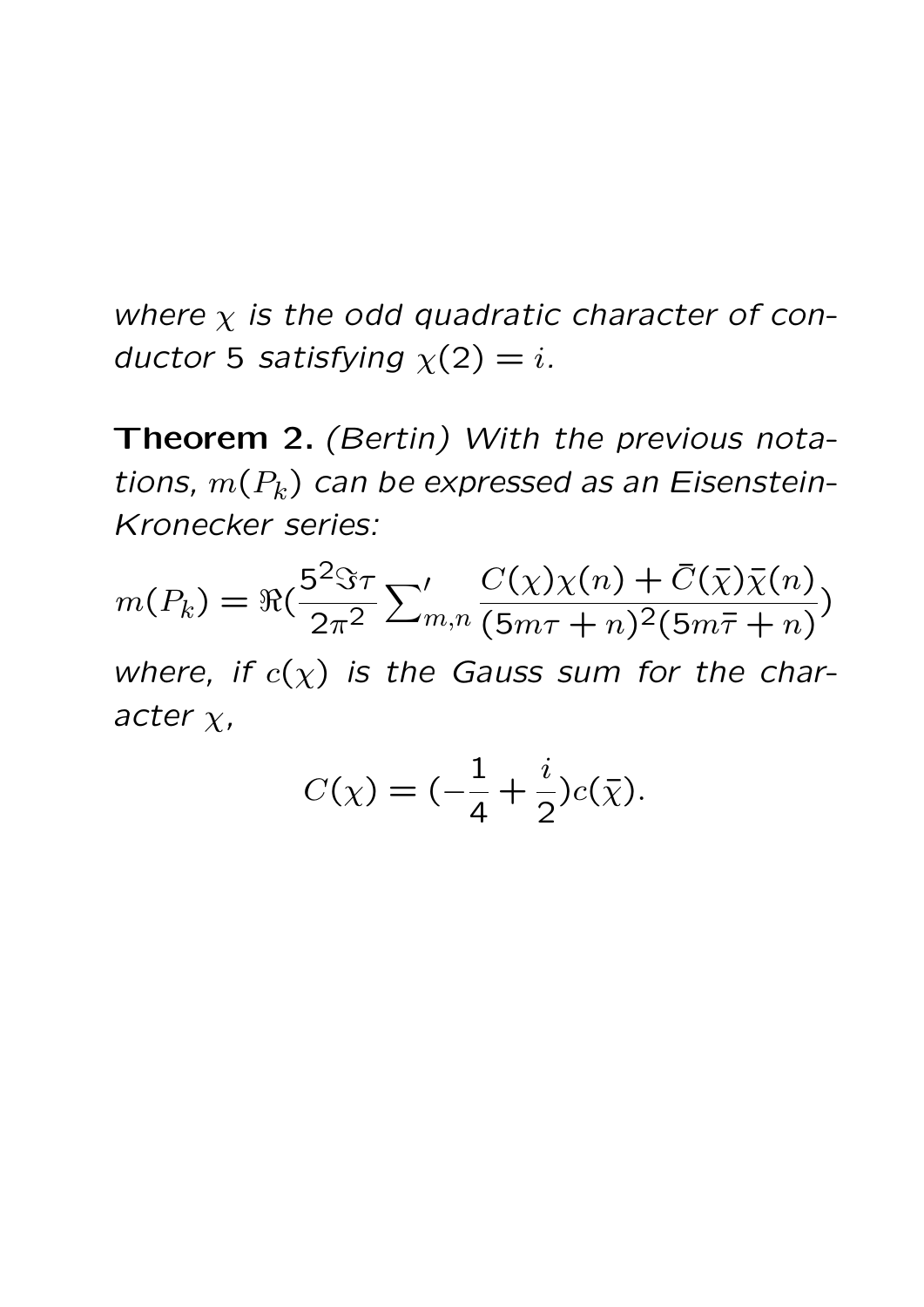where  $\chi$  is the odd quadratic character of conductor 5 satisfying  $\chi(2) = i$ .

Theorem 2. (Bertin) With the previous notations,  $m(P_k)$  can be expressed as an Eisenstein-Kronecker series:

$$
m(P_k) = \Re\left(\frac{5^2 \Im \tau}{2\pi^2} \sum_{m,n} \frac{C(\chi)\chi(n) + \bar{C}(\bar{\chi})\bar{\chi}(n)}{(5m\tau + n)^2(5m\bar{\tau} + n)}\right)
$$

where, if  $c(\chi)$  is the Gauss sum for the character  $\chi$ ,

$$
C(\chi) = (-\frac{1}{4} + \frac{i}{2})c(\bar{\chi}).
$$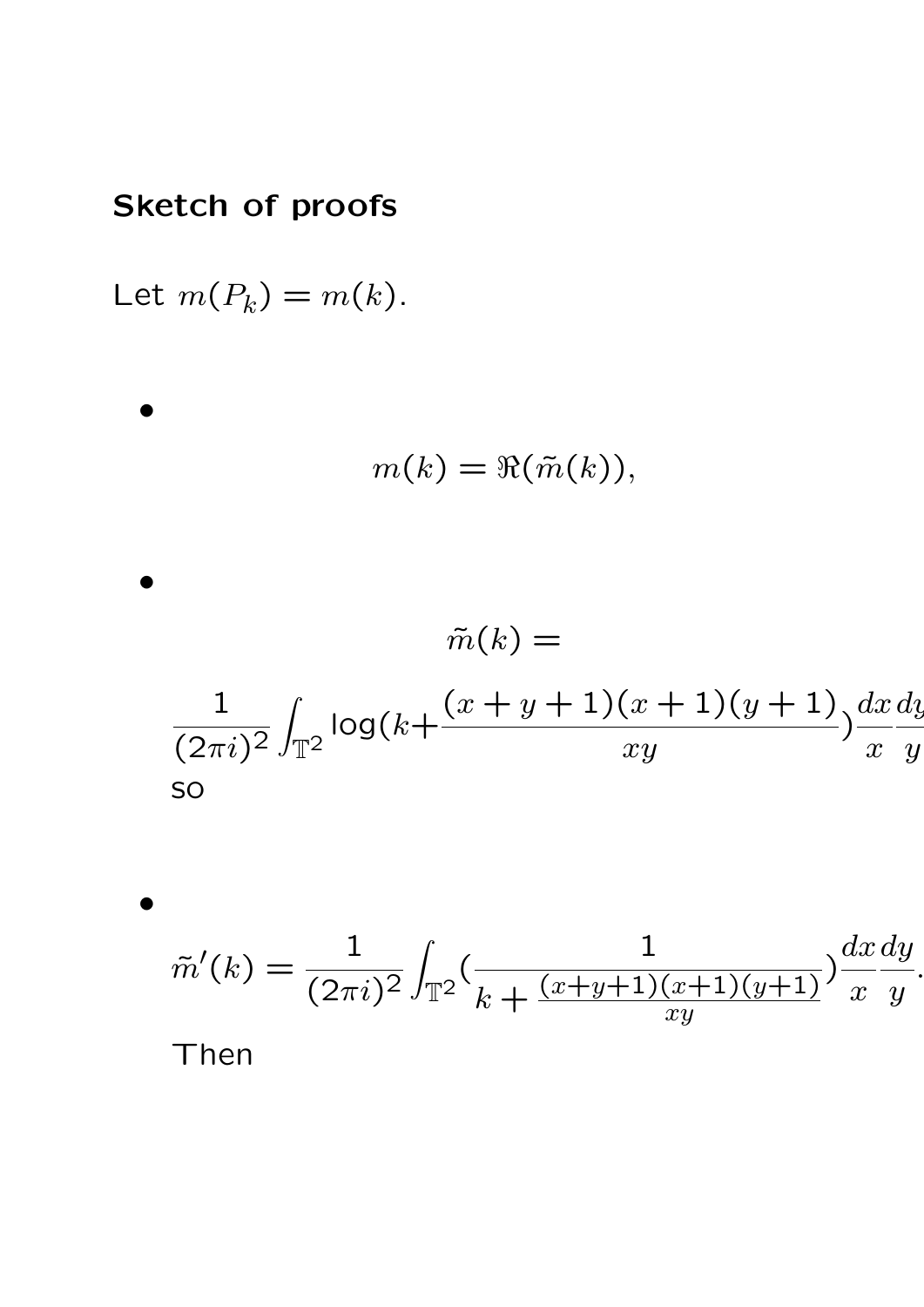#### Sketch of proofs

Let  $m(P_k) = m(k)$ .

•

•

 $\tilde{m}(k) =$ 1  $(2\pi i)^2$ Z  $T^2$  $log(k+$  $(x + y + 1)(x + 1)(y + 1)$  $xy$ )  $dx$  $\overline{x}$  $\overline{d}$  $\hat{y}$ so

 $m(k) = \Re(\tilde{m}(k)),$ 

•  $\tilde{m}'$  $(k) = \frac{1}{6}$  $\overline{(2\pi i)^2}$ Z  $T^2$ ( 1  $k + \frac{(x+y+1)(x+1)(y+1)}{xy}$ )  $dx$  $\overline{x}$  $\overline{dy}$  $\hat{y}$ . Then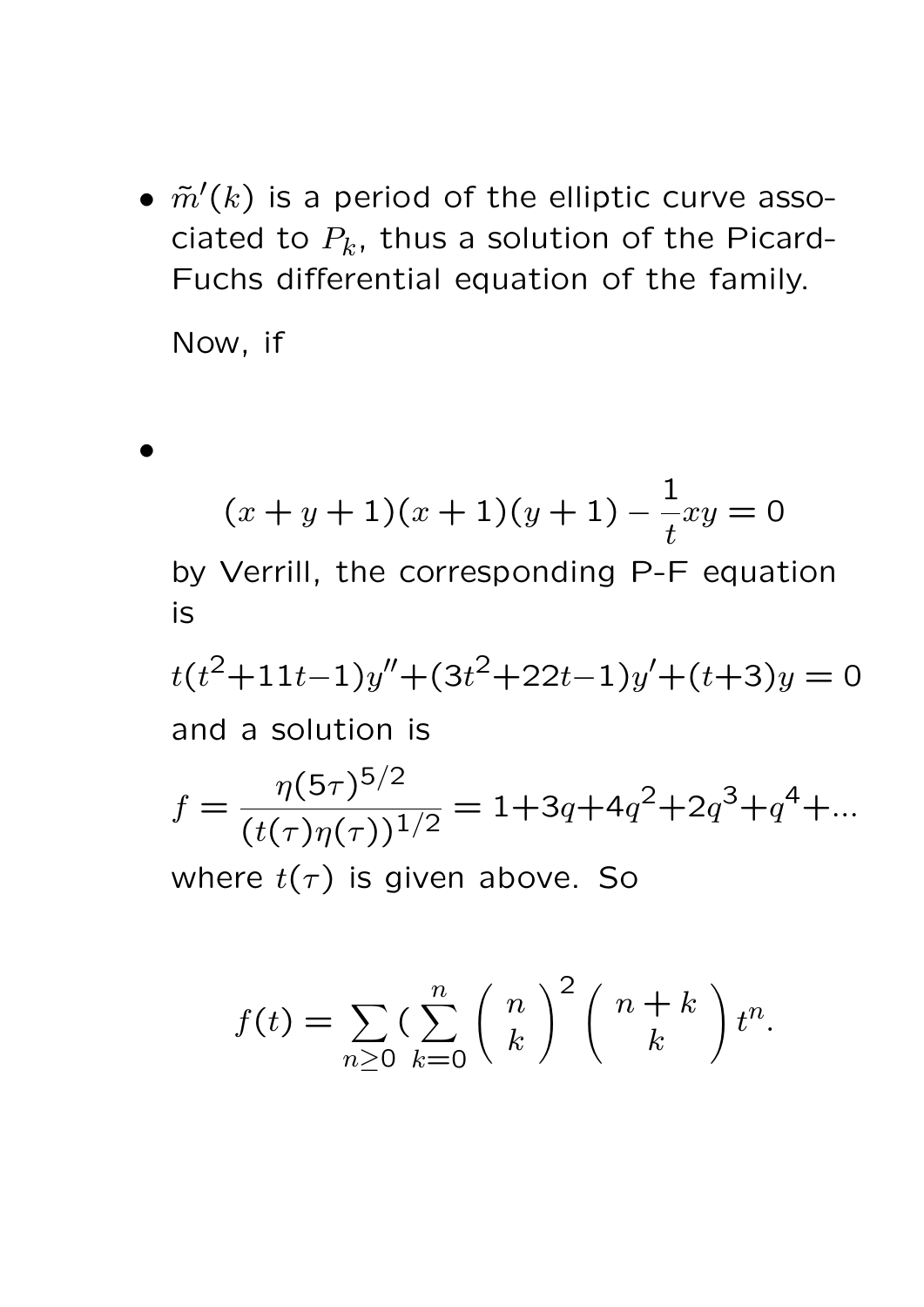$\bullet$   $\tilde{m}'(k)$  is a period of the elliptic curve associated to  $P_k$ , thus a solution of the Picard-Fuchs differential equation of the family.

Now, if

•

$$
(x + y + 1)(x + 1)(y + 1) - \frac{1}{t}xy = 0
$$
  
by Verrill, the corresponding P-F equation  
is  

$$
t(t^2 + 11t - 1)y'' + (3t^2 + 22t - 1)y' + (t+3)y = 0
$$
  
and a solution is  

$$
f = \frac{\eta(5\tau)^{5/2}}{(t(\tau)\eta(\tau))^{1/2}} = 1 + 3q + 4q^2 + 2q^3 + q^4 + ...
$$

where  $t(\tau)$  is given above. So

$$
f(t) = \sum_{n \geq 0} \left( \sum_{k=0}^n {n \choose k}^2 {n+k \choose k} t^n.
$$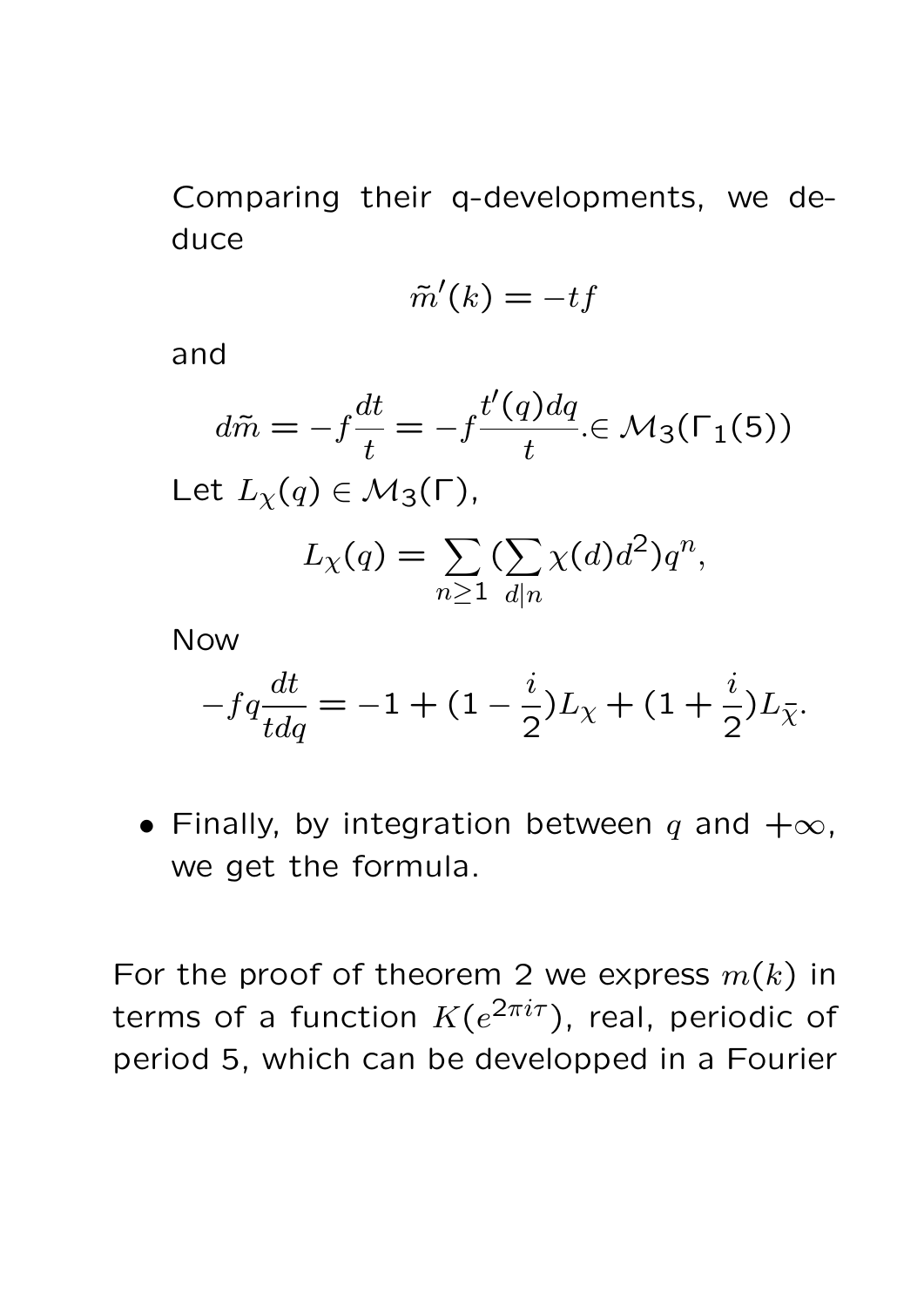Comparing their q-developments, we deduce

$$
\tilde{m}'(k) = -tf
$$

and

$$
d\tilde{m} = -f\frac{dt}{t} = -f\frac{t'(q)dq}{t} \in \mathcal{M}_3(\Gamma_1(5))
$$
  
Let  $L_\chi(q) \in \mathcal{M}_3(\Gamma)$ ,  

$$
L_\chi(q) = \sum_{n \ge 1} (\sum_{d|n} \chi(d)d^2) q^n,
$$

Now

$$
-fq\frac{dt}{tdq} = -1 + (1 - \frac{i}{2})L_{\chi} + (1 + \frac{i}{2})L_{\bar{\chi}}.
$$

• Finally, by integration between q and  $+\infty$ , we get the formula.

For the proof of theorem 2 we express  $m(k)$  in terms of a function  $K(e^{2\pi i \tau})$ , real, periodic of period 5, which can be developped in a Fourier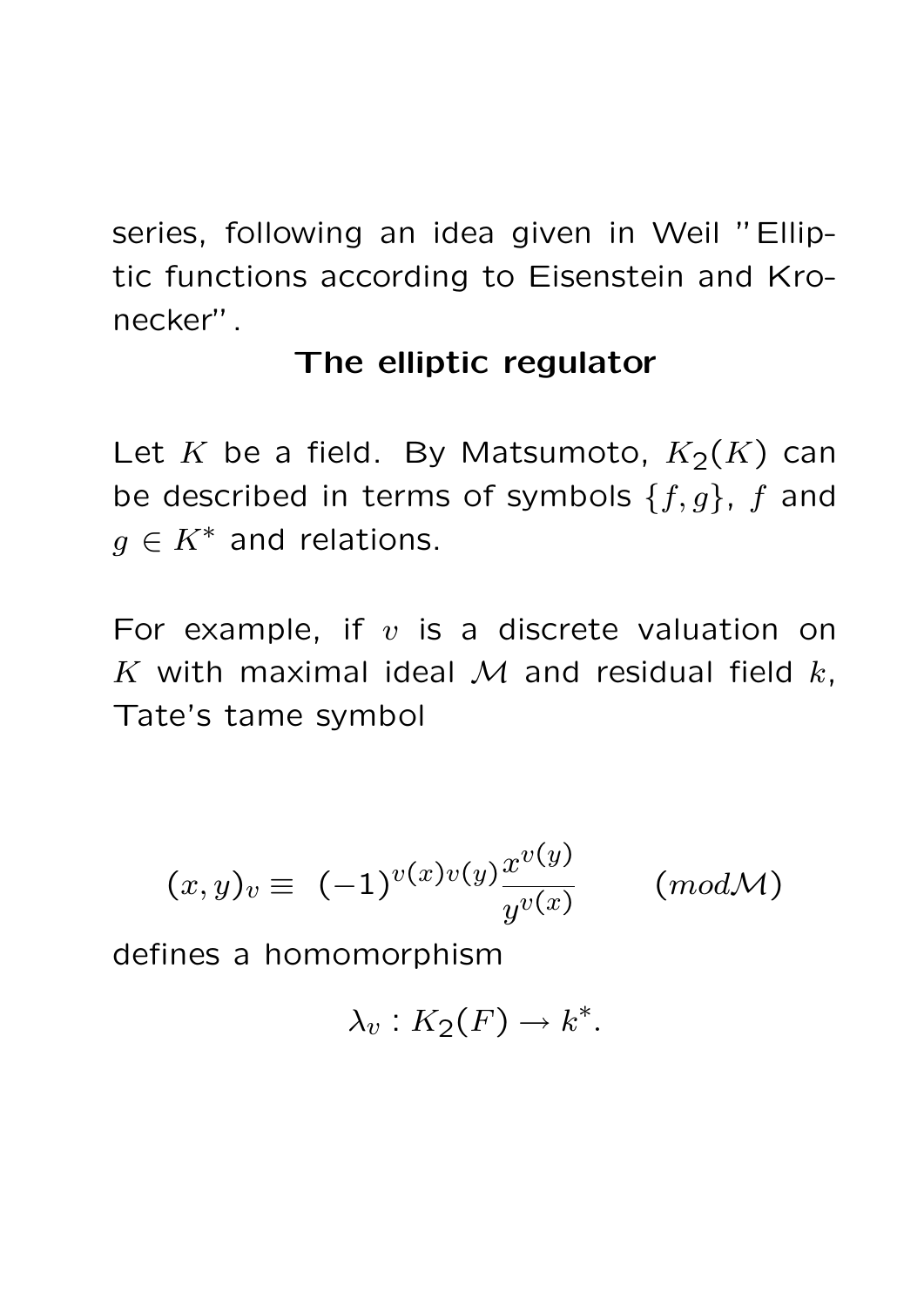series, following an idea given in Weil "Elliptic functions according to Eisenstein and Kronecker".

## The elliptic regulator

Let K be a field. By Matsumoto,  $K_2(K)$  can be described in terms of symbols  $\{f,g\}$ , f and  $g \in K^*$  and relations.

For example, if  $v$  is a discrete valuation on K with maximal ideal M and residual field  $k$ , Tate's tame symbol

$$
(x,y)_v\equiv (-1)^{v(x)v(y)}\frac{x^{v(y)}}{y^{v(x)}}\qquad \ (mod\mathcal{M})
$$

defines a homomorphism

$$
\lambda_v: K_2(F) \to k^*.
$$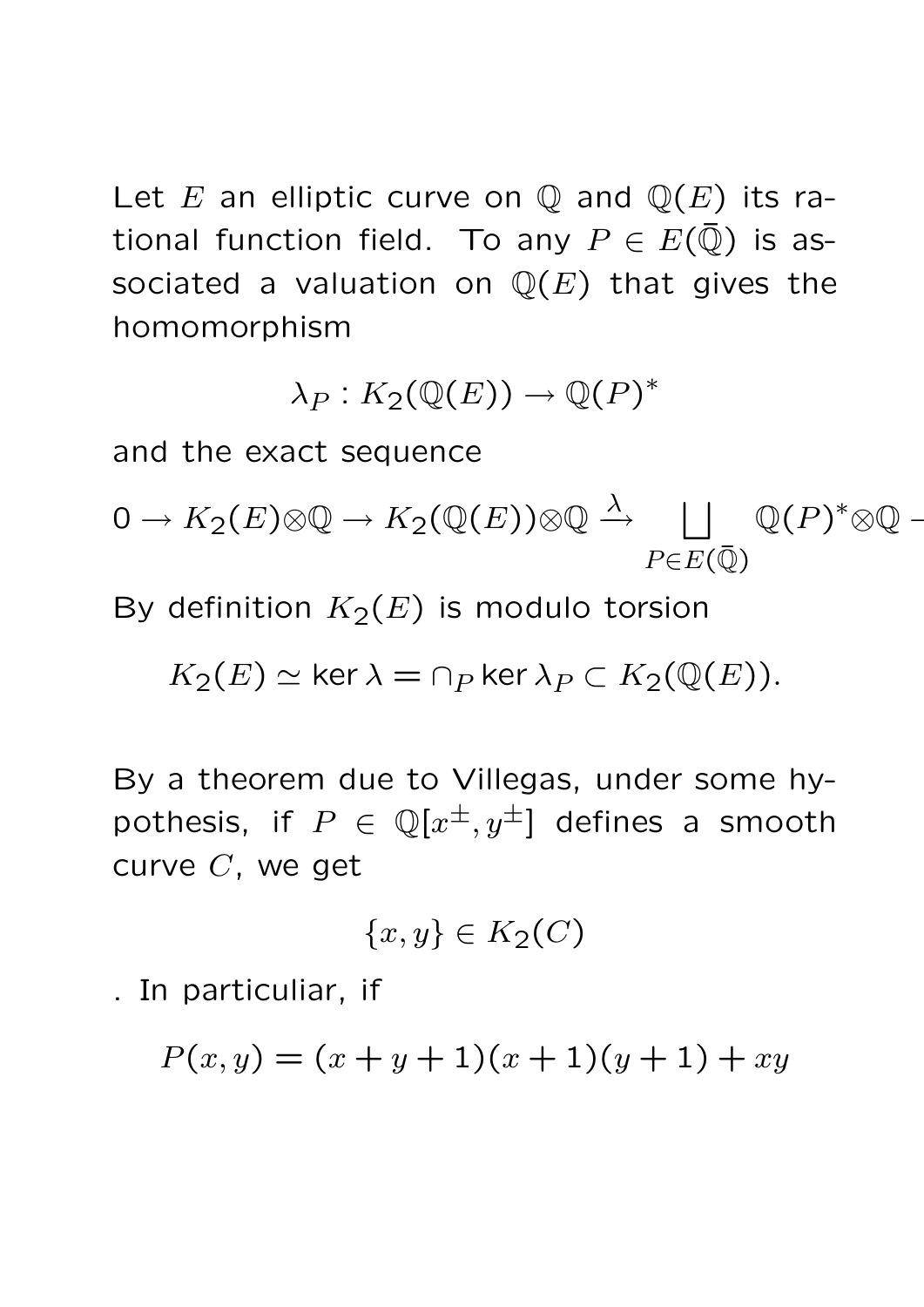Let E an elliptic curve on  $\mathbb Q$  and  $\mathbb Q(E)$  its rational function field. To any  $P \in E(\bar{\mathbb{Q}})$  is associated a valuation on  $\mathbb{Q}(E)$  that gives the homomorphism

$$
\lambda_P: K_2(\mathbb{Q}(E)) \to \mathbb{Q}(P)^*
$$

and the exact sequence

 $0 \to K_2(E) {\otimes} \mathbb{Q} \to K_2(\mathbb{Q}(E)) {\otimes} \mathbb{Q} \stackrel{\lambda}{\to} \quad \bigsqcup \quad \mathbb{Q}(P)^* {\otimes} \mathbb{Q} \; \hbox{-1.5mm}$  $P\in E(\bar{\mathbb{Q}})$ 

By definition  $K_2(E)$  is modulo torsion

 $K_2(E) \simeq \ker \lambda = \cap_P \ker \lambda_P \subset K_2(\mathbb{Q}(E)).$ 

By a theorem due to Villegas, under some hypothesis, if  $P \in \mathbb{Q}[x^{\pm}, y^{\pm}]$  defines a smooth curve C, we get

$$
\{x, y\} \in K_2(C)
$$

. In particuliar, if

$$
P(x, y) = (x + y + 1)(x + 1)(y + 1) + xy
$$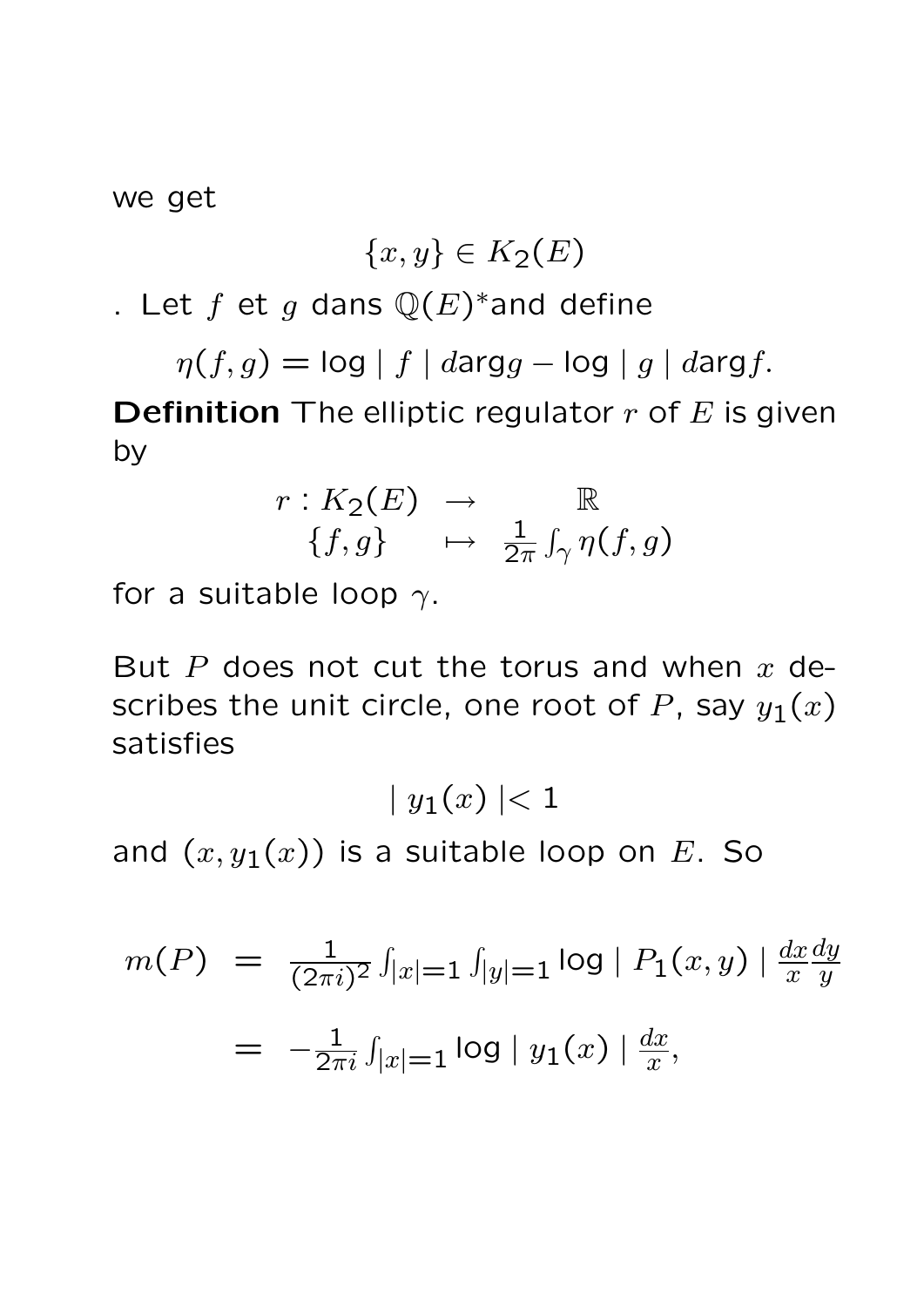we get

$$
\{x,y\} \in K_2(E)
$$

. Let  $f$  et  $g$  dans  $\mathbb{Q}(E)^*$  and define

 $\eta(f,g) = \log |f| \cdot darg g - \log |g| \cdot darg f.$ **Definition** The elliptic regulator  $r$  of  $E$  is given by

$$
r: K_2(E) \rightarrow \mathbb{R}
$$
  

$$
\{f, g\} \rightarrow \frac{1}{2\pi} \int_{\gamma} \eta(f, g)
$$

for a suitable loop  $\gamma$ .

But P does not cut the torus and when  $x$  describes the unit circle, one root of P, say  $y_1(x)$ satisfies

 $|y_1(x)| < 1$ 

and  $(x, y_1(x))$  is a suitable loop on E. So

$$
m(P) = \frac{1}{(2\pi i)^2} \int_{|x|=1} \int_{|y|=1} \log |P_1(x, y)| \frac{dx}{x} \frac{dy}{y}
$$

$$
= -\frac{1}{2\pi i} \int_{|x|=1} \log |y_1(x)| \frac{dx}{x},
$$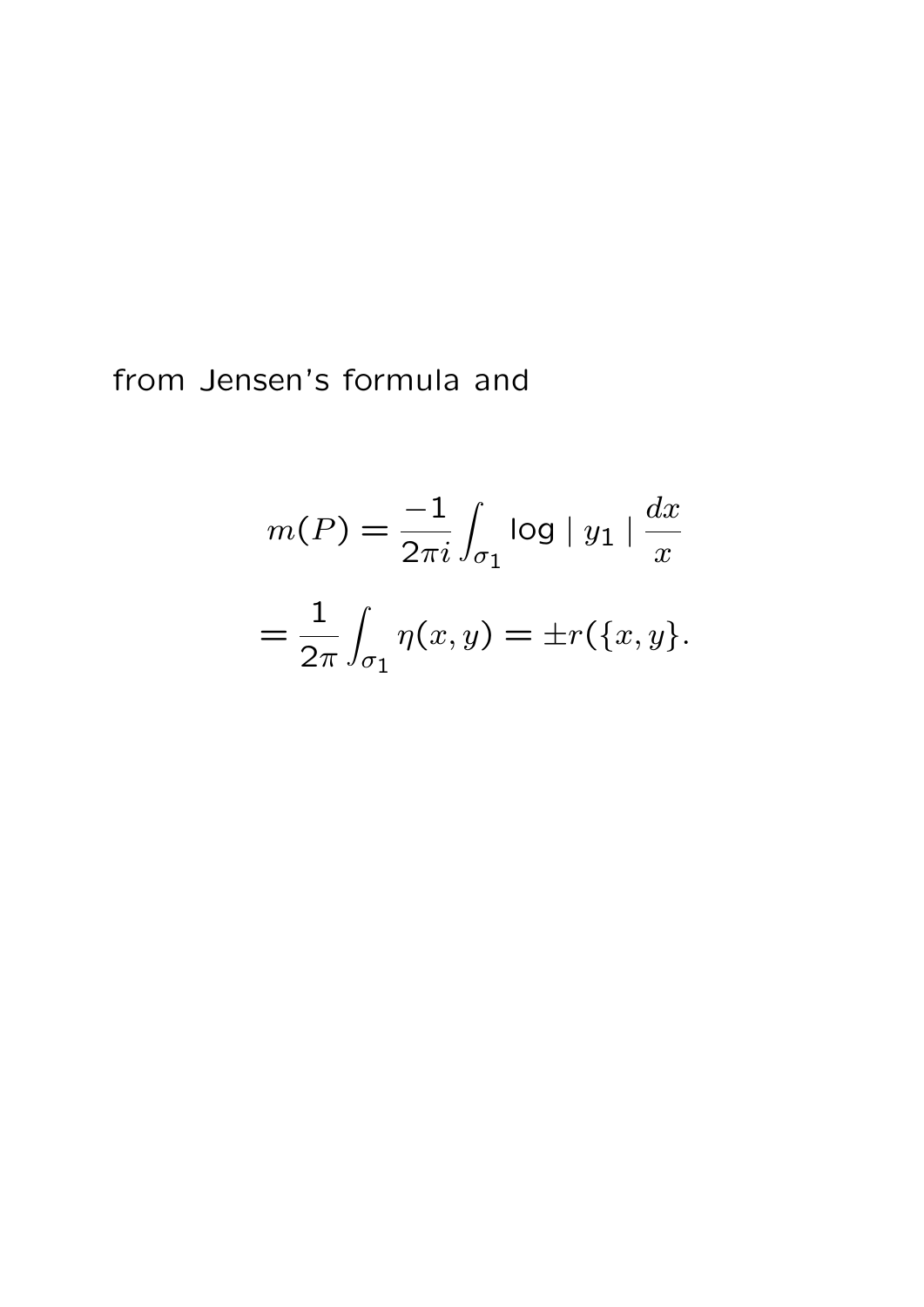from Jensen's formula and

$$
m(P) = \frac{-1}{2\pi i} \int_{\sigma_1} \log |y_1| \frac{dx}{x}
$$

$$
= \frac{1}{2\pi} \int_{\sigma_1} \eta(x, y) = \pm r(\{x, y\}).
$$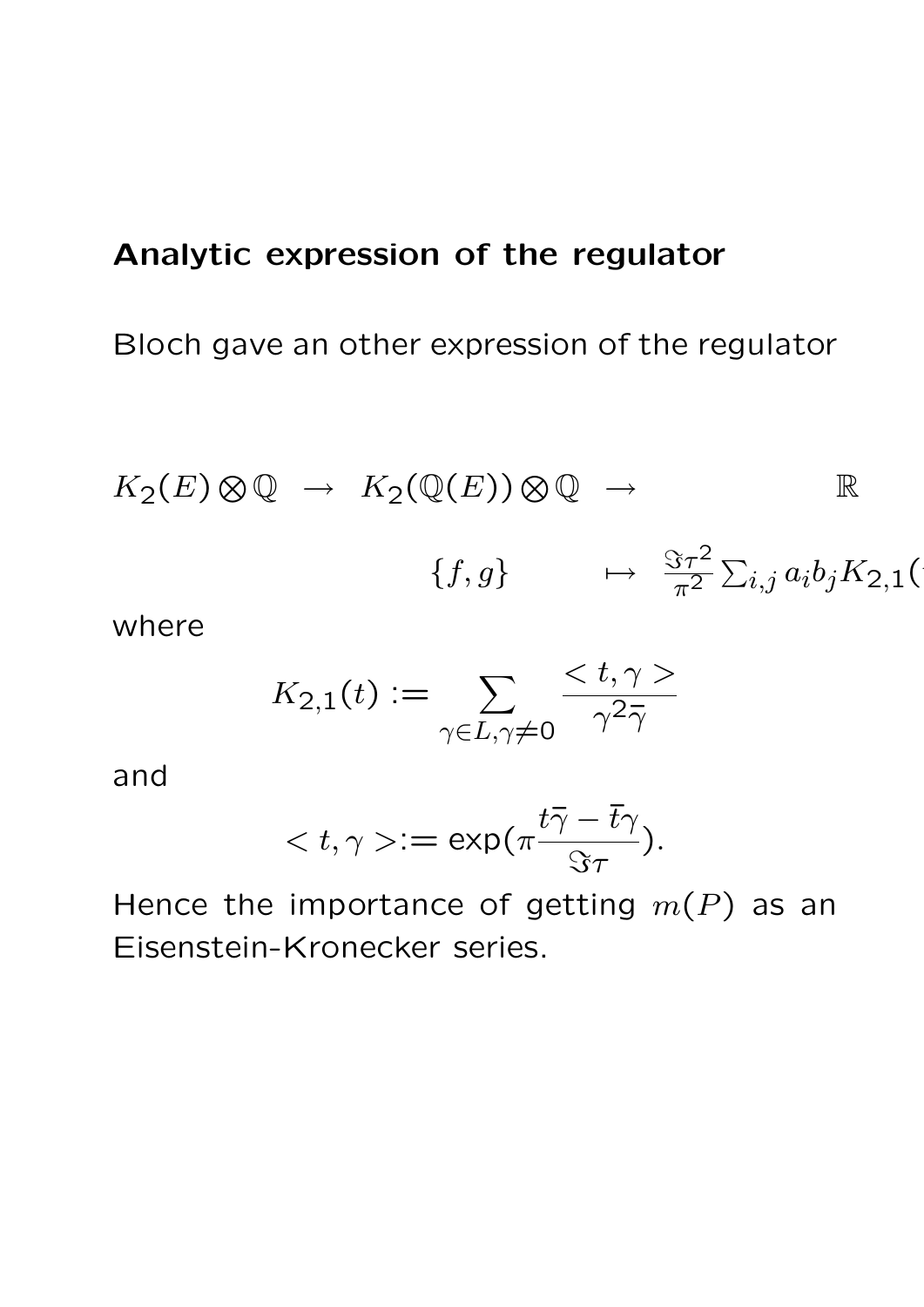### Analytic expression of the regulator

#### Bloch gave an other expression of the regulator

$$
K_2(E) \otimes \mathbb{Q} \rightarrow K_2(\mathbb{Q}(E)) \otimes \mathbb{Q} \rightarrow \mathbb{R}
$$
  

$$
\{f,g\} \rightarrow \frac{\Im \tau^2}{\pi^2} \sum_{i,j} a_i b_j K_{2,1}(\mathbb{Q}(E)) \otimes \mathbb{Q} \rightarrow \mathbb{Q}
$$

where

$$
K_{2,1}(t) := \sum_{\gamma \in L, \gamma \neq 0} \frac{\langle t, \gamma \rangle}{\gamma^2 \overline{\gamma}}
$$

and

$$
\langle t, \gamma \rangle := \exp(\pi \frac{t\bar{\gamma} - \bar{t}\gamma}{\Im \tau}).
$$

Hence the importance of getting  $m(P)$  as an Eisenstein-Kronecker series.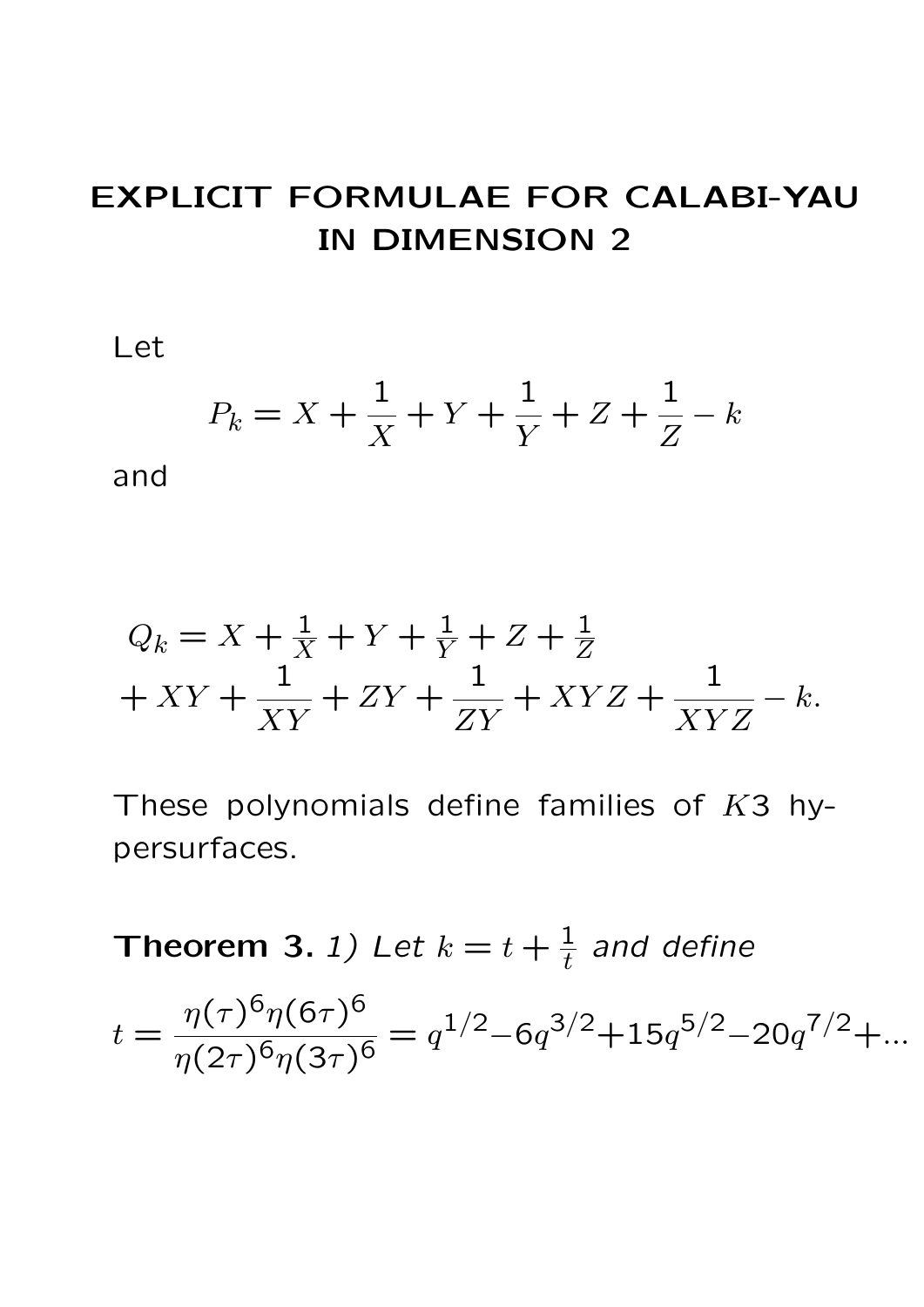# EXPLICIT FORMULAE FOR CALABI-YAU IN DIMENSION 2

Let

$$
P_k = X + \frac{1}{X} + Y + \frac{1}{Y} + Z + \frac{1}{Z} - k
$$

and

$$
Q_k = X + \frac{1}{X} + Y + \frac{1}{Y} + Z + \frac{1}{Z} + XY + \frac{1}{XY} + ZY + \frac{1}{ZY} + XYZ + \frac{1}{XYZ} - k.
$$

These polynomials define families of  $K3$  hypersurfaces.

Theorem 3. 1) Let  $k = t + \frac{1}{t}$ and define  $t =$  $\eta(\tau)^6\eta(6\tau)^6$  $\frac{\eta(\tau)^{6}\eta(6\tau)^{6}}{\eta(2\tau)^{6}\eta(3\tau)^{6}} = q^{1/2} - 6q^{3/2} + 15q^{5/2} - 20q^{7/2} + ...$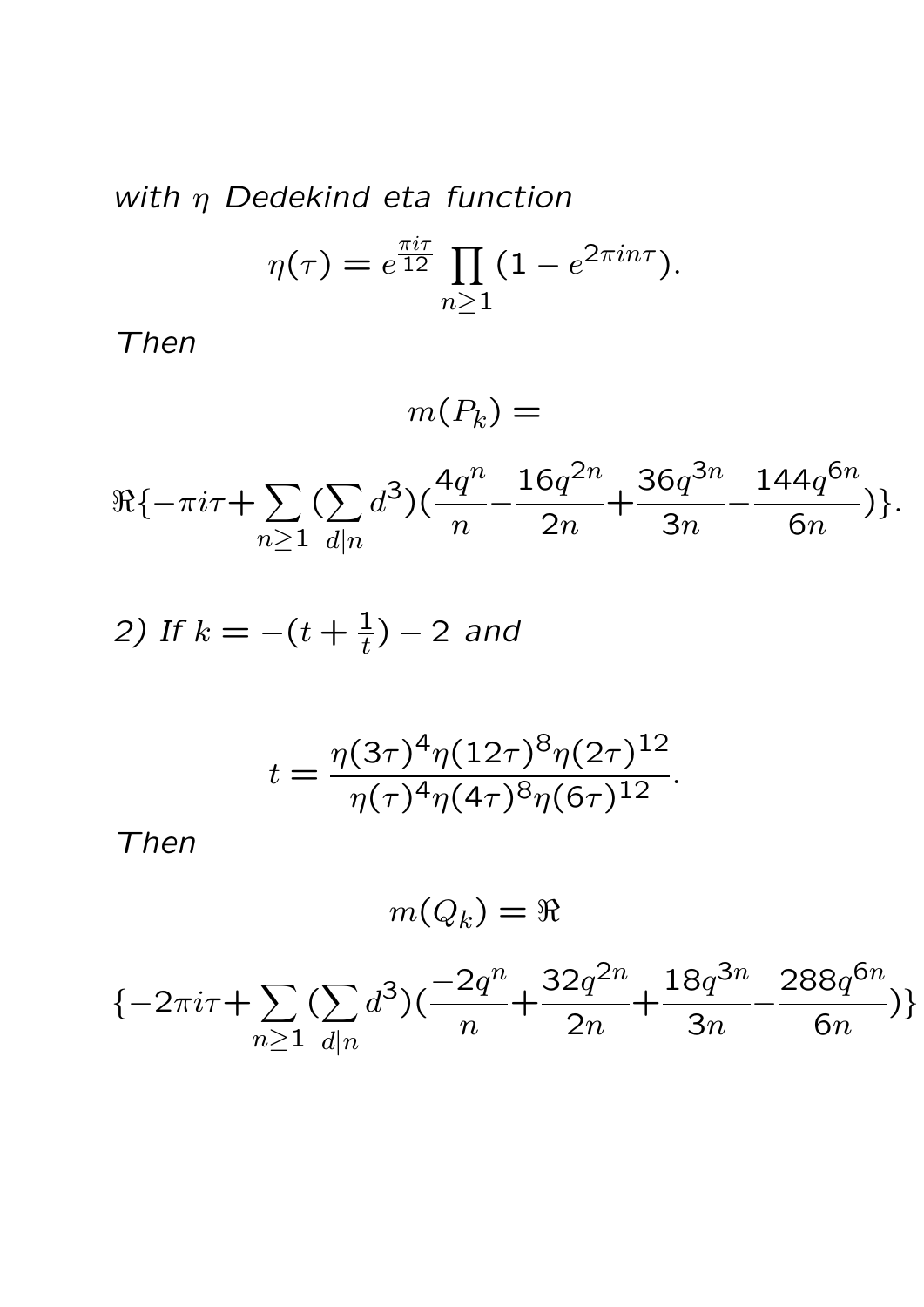with 
$$
\eta
$$
 Dedekind eta function  
\n
$$
\eta(\tau) = e^{\frac{\pi i \tau}{12}} \prod_{n \ge 1} (1 - e^{2\pi i n \tau}).
$$

Then

 $m(P_k) =$  $\Re\{-\pi i\tau + \sum\}$  $n \geq 1$  $(\sum_{i=1}^{n}$  $d|n$  $d^3$  $\left( \frac{4q^{n}}{n} \right)$  $\overline{n}$ −  $16q^{2n}$  $2n$ +  $36q^{3n}$  $3n$ −  $144q^{6n}$ 6n )}.

2) If 
$$
k = -(t + \frac{1}{t}) - 2
$$
 and

$$
t = \frac{\eta(3\tau)^4 \eta(12\tau)^8 \eta(2\tau)^{12}}{\eta(\tau)^4 \eta(4\tau)^8 \eta(6\tau)^{12}}.
$$

Then

$$
m(Q_k)=\Re
$$

$$
\{-2\pi i\tau + \sum_{n\geq 1} (\sum_{d|n} d^3)(\frac{-2q^n}{n} + \frac{32q^{2n}}{2n} + \frac{18q^{3n}}{3n} - \frac{288q^{6n}}{6n})\}
$$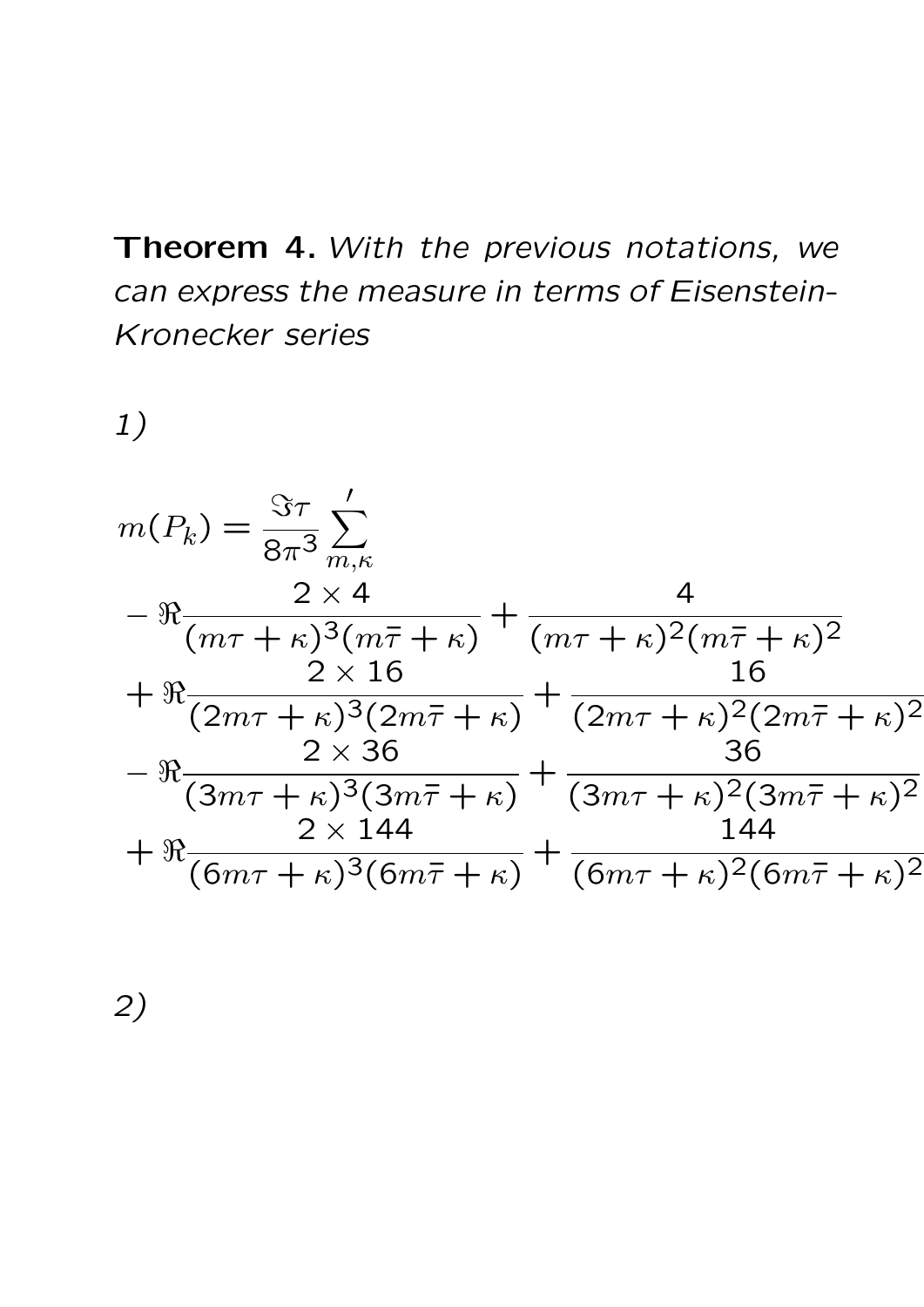# Theorem 4. With the previous notations, we can express the measure in terms of Eisenstein-Kronecker series

1)



2)